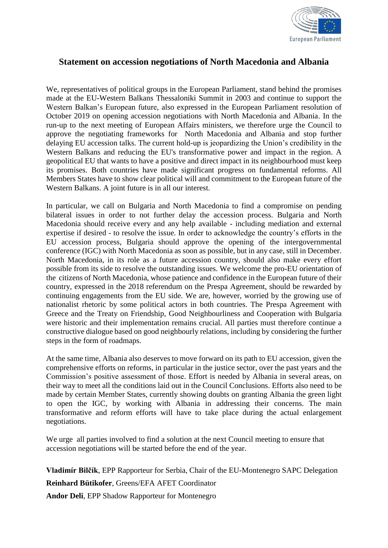

## **Statement on accession negotiations of North Macedonia and Albania**

We, representatives of political groups in the European Parliament, stand behind the promises made at the EU-Western Balkans Thessaloniki Summit in 2003 and continue to support the Western Balkan's European future, also expressed in the European Parliament resolution of October 2019 on opening accession negotiations with North Macedonia and Albania. In the run-up to the next meeting of European Affairs ministers, we therefore urge the Council to approve the negotiating frameworks for North Macedonia and Albania and stop further delaying EU accession talks. The current hold-up is jeopardizing the Union's credibility in the Western Balkans and reducing the EU's transformative power and impact in the region. A geopolitical EU that wants to have a positive and direct impact in its neighbourhood must keep its promises. Both countries have made significant progress on fundamental reforms. All Members States have to show clear political will and commitment to the European future of the Western Balkans. A joint future is in all our interest.

In particular, we call on Bulgaria and North Macedonia to find a compromise on pending bilateral issues in order to not further delay the accession process. Bulgaria and North Macedonia should receive every and any help available - including mediation and external expertise if desired - to resolve the issue. In order to acknowledge the country's efforts in the EU accession process, Bulgaria should approve the opening of the intergovernmental conference (IGC) with North Macedonia as soon as possible, but in any case, still in December. North Macedonia, in its role as a future accession country, should also make every effort possible from its side to resolve the outstanding issues. We welcome the pro-EU orientation of the citizens of North Macedonia, whose patience and confidence in the European future of their country, expressed in the 2018 referendum on the Prespa Agreement, should be rewarded by continuing engagements from the EU side. We are, however, worried by the growing use of nationalist rhetoric by some political actors in both countries. The Prespa Agreement with Greece and the Treaty on Friendship, Good Neighbourliness and Cooperation with Bulgaria were historic and their implementation remains crucial. All parties must therefore continue a constructive dialogue based on good neighbourly relations, including by considering the further steps in the form of roadmaps.

At the same time, Albania also deserves to move forward on its path to EU accession, given the comprehensive efforts on reforms, in particular in the justice sector, over the past years and the Commission's positive assessment of those. Effort is needed by Albania in several areas, on their way to meet all the conditions laid out in the Council Conclusions. Efforts also need to be made by certain Member States, currently showing doubts on granting Albania the green light to open the IGC, by working with Albania in addressing their concerns. The main transformative and reform efforts will have to take place during the actual enlargement negotiations.

We urge all parties involved to find a solution at the next Council meeting to ensure that accession negotiations will be started before the end of the year.

**Vladimír Bilčík**, EPP Rapporteur for Serbia, Chair of the EU-Montenegro SAPC Delegation **Reinhard Bütikofer**, Greens/EFA AFET Coordinator **Andor Deli**, EPP Shadow Rapporteur for Montenegro